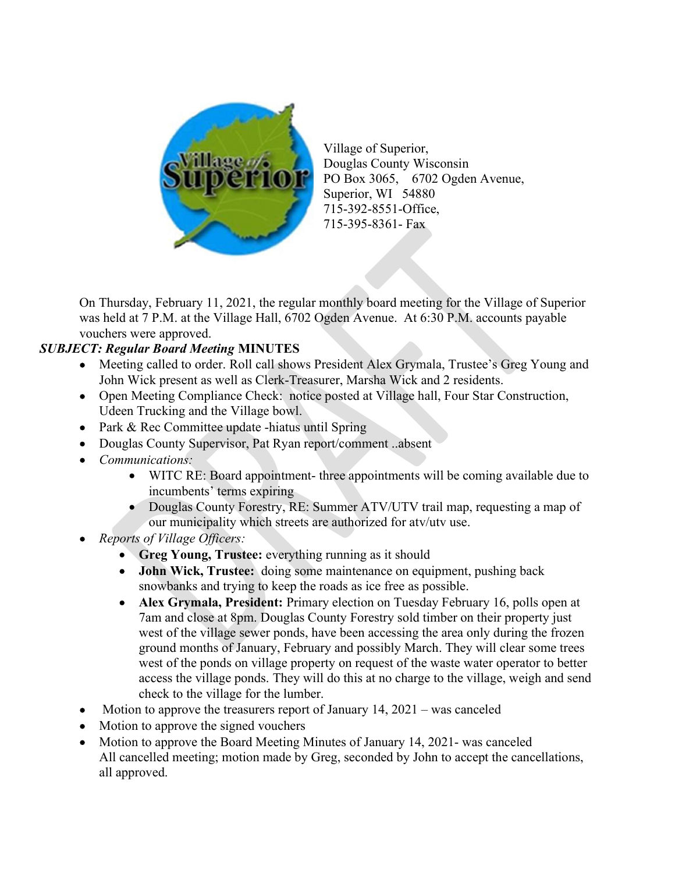

Village of Superior, Douglas County Wisconsin PO Box 3065, 6702 Ogden Avenue, Superior, WI 54880 715-392-8551-Office, 715-395-8361- Fax

On Thursday, February 11, 2021, the regular monthly board meeting for the Village of Superior was held at 7 P.M. at the Village Hall, 6702 Ogden Avenue. At 6:30 P.M. accounts payable vouchers were approved.

## SUBJECT: Regular Board Meeting MINUTES

- Meeting called to order. Roll call shows President Alex Grymala, Trustee's Greg Young and John Wick present as well as Clerk-Treasurer, Marsha Wick and 2 residents.
- Open Meeting Compliance Check: notice posted at Village hall, Four Star Construction, Udeen Trucking and the Village bowl.
- Park & Rec Committee update -hiatus until Spring
- Douglas County Supervisor, Pat Ryan report/comment ..absent
- Communications:
	- WITC RE: Board appointment- three appointments will be coming available due to incumbents' terms expiring
	- Douglas County Forestry, RE: Summer ATV/UTV trail map, requesting a map of our municipality which streets are authorized for atv/utv use.
- Reports of Village Officers:
	- Greg Young, Trustee: everything running as it should
	- John Wick, Trustee: doing some maintenance on equipment, pushing back snowbanks and trying to keep the roads as ice free as possible.
	- Alex Grymala, President: Primary election on Tuesday February 16, polls open at 7am and close at 8pm. Douglas County Forestry sold timber on their property just west of the village sewer ponds, have been accessing the area only during the frozen ground months of January, February and possibly March. They will clear some trees west of the ponds on village property on request of the waste water operator to better access the village ponds. They will do this at no charge to the village, weigh and send check to the village for the lumber.
- $\bullet$  Motion to approve the treasurers report of January 14, 2021 was canceled
- Motion to approve the signed vouchers
- Motion to approve the Board Meeting Minutes of January 14, 2021- was canceled All cancelled meeting; motion made by Greg, seconded by John to accept the cancellations, all approved.